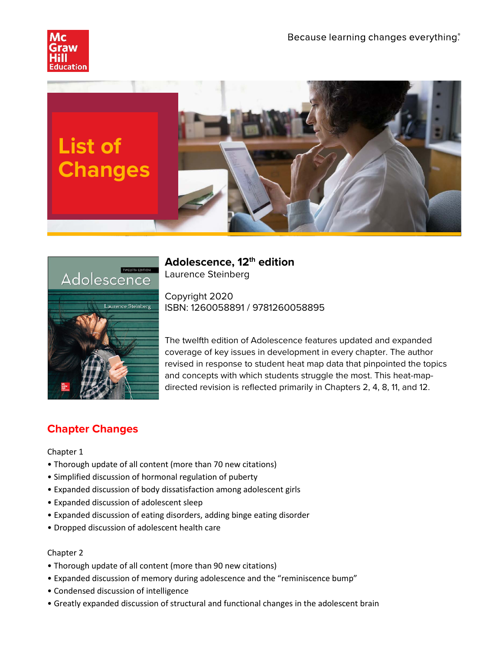





**Adolescence, 12th edition** Laurence Steinberg

Copyright 2020 ISBN: 1260058891 / 9781260058895

The twelfth edition of Adolescence features updated and expanded coverage of key issues in development in every chapter. The author revised in response to student heat map data that pinpointed the topics and concepts with which students struggle the most. This heat-mapdirected revision is reflected primarily in Chapters 2, 4, 8, 11, and 12.

# **Chapter Changes**

## Chapter 1

- Thorough update of all content (more than 70 new citations)
- Simplified discussion of hormonal regulation of puberty
- Expanded discussion of body dissatisfaction among adolescent girls
- Expanded discussion of adolescent sleep
- Expanded discussion of eating disorders, adding binge eating disorder
- Dropped discussion of adolescent health care

## Chapter 2

- Thorough update of all content (more than 90 new citations)
- Expanded discussion of memory during adolescence and the "reminiscence bump"
- Condensed discussion of intelligence
- Greatly expanded discussion of structural and functional changes in the adolescent brain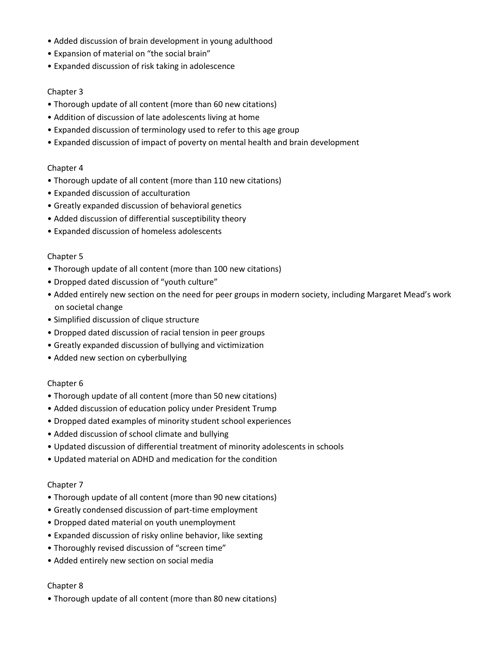- Added discussion of brain development in young adulthood
- Expansion of material on "the social brain"
- Expanded discussion of risk taking in adolescence

## Chapter 3

- Thorough update of all content (more than 60 new citations)
- Addition of discussion of late adolescents living at home
- Expanded discussion of terminology used to refer to this age group
- Expanded discussion of impact of poverty on mental health and brain development

## Chapter 4

- Thorough update of all content (more than 110 new citations)
- Expanded discussion of acculturation
- Greatly expanded discussion of behavioral genetics
- Added discussion of differential susceptibility theory
- Expanded discussion of homeless adolescents

#### Chapter 5

- Thorough update of all content (more than 100 new citations)
- Dropped dated discussion of "youth culture"
- Added entirely new section on the need for peer groups in modern society, including Margaret Mead's work on societal change
- Simplified discussion of clique structure
- Dropped dated discussion of racial tension in peer groups
- Greatly expanded discussion of bullying and victimization
- Added new section on cyberbullying

#### Chapter 6

- Thorough update of all content (more than 50 new citations)
- Added discussion of education policy under President Trump
- Dropped dated examples of minority student school experiences
- Added discussion of school climate and bullying
- Updated discussion of differential treatment of minority adolescents in schools
- Updated material on ADHD and medication for the condition

#### Chapter 7

- Thorough update of all content (more than 90 new citations)
- Greatly condensed discussion of part-time employment
- Dropped dated material on youth unemployment
- Expanded discussion of risky online behavior, like sexting
- Thoroughly revised discussion of "screen time"
- Added entirely new section on social media

#### Chapter 8

• Thorough update of all content (more than 80 new citations)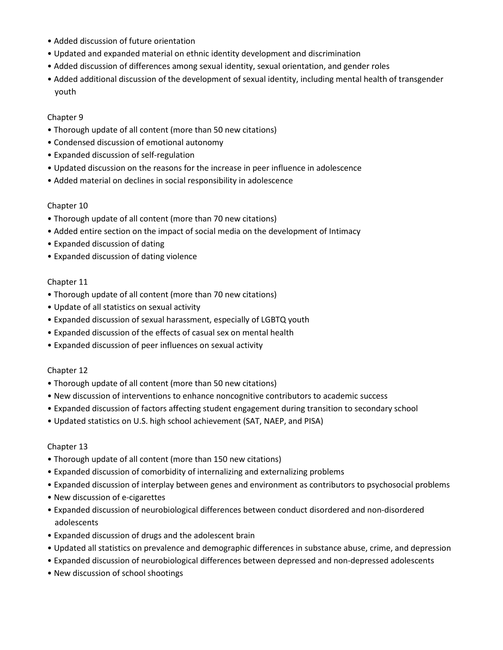- Added discussion of future orientation
- Updated and expanded material on ethnic identity development and discrimination
- Added discussion of differences among sexual identity, sexual orientation, and gender roles
- Added additional discussion of the development of sexual identity, including mental health of transgender youth

## Chapter 9

- Thorough update of all content (more than 50 new citations)
- Condensed discussion of emotional autonomy
- Expanded discussion of self-regulation
- Updated discussion on the reasons for the increase in peer influence in adolescence
- Added material on declines in social responsibility in adolescence

## Chapter 10

- Thorough update of all content (more than 70 new citations)
- Added entire section on the impact of social media on the development of Intimacy
- Expanded discussion of dating
- Expanded discussion of dating violence

## Chapter 11

- Thorough update of all content (more than 70 new citations)
- Update of all statistics on sexual activity
- Expanded discussion of sexual harassment, especially of LGBTQ youth
- Expanded discussion of the effects of casual sex on mental health
- Expanded discussion of peer influences on sexual activity

#### Chapter 12

- Thorough update of all content (more than 50 new citations)
- New discussion of interventions to enhance noncognitive contributors to academic success
- Expanded discussion of factors affecting student engagement during transition to secondary school
- Updated statistics on U.S. high school achievement (SAT, NAEP, and PISA)

#### Chapter 13

- Thorough update of all content (more than 150 new citations)
- Expanded discussion of comorbidity of internalizing and externalizing problems
- Expanded discussion of interplay between genes and environment as contributors to psychosocial problems
- New discussion of e-cigarettes
- Expanded discussion of neurobiological differences between conduct disordered and non-disordered adolescents
- Expanded discussion of drugs and the adolescent brain
- Updated all statistics on prevalence and demographic differences in substance abuse, crime, and depression
- Expanded discussion of neurobiological differences between depressed and non-depressed adolescents
- New discussion of school shootings